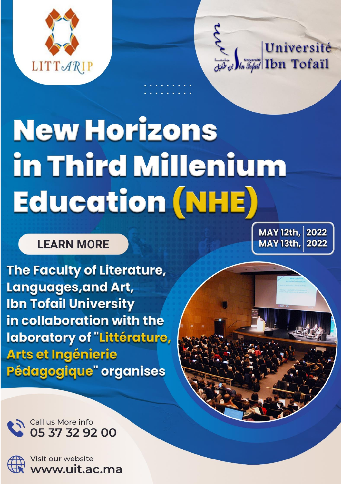



# **New Horizons** in Third Millenium Education (NHE)

**LEARN MORE** 

The Faculty of Literature, **Languages, and Art, Ibn Tofail University** in collaboration with the laboratory of "Littérature, **Arts et Ingénierie** Pédagogique" organises

MAY 12th, 2022 **MAY 13th** 2022

Call us More info 05 37 32 92 00



Visit our website www.uit.ac.ma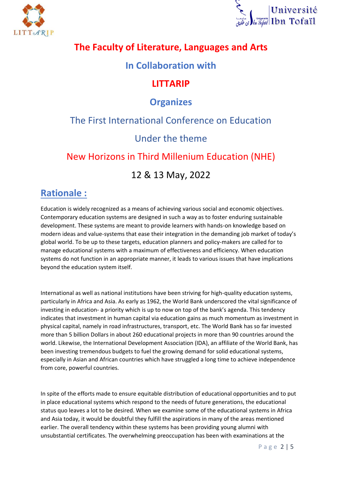



#### **The Faculty of Literature, Languages and Arts**

#### **In Collaboration with**

#### **LITTARIP**

#### **Organizes**

#### The First International Conference on Education

#### Under the theme

### New Horizons in Third Millenium Education (NHE)

#### 12 & 13 May, 2022

### **Rationale :**

Education is widely recognized as a means of achieving various social and economic objectives. Contemporary education systems are designed in such a way as to foster enduring sustainable development. These systems are meant to provide learners with hands-on knowledge based on modern ideas and value-systems that ease their integration in the demanding job market of today's global world. To be up to these targets, education planners and policy-makers are called for to manage educational systems with a maximum of effectiveness and efficiency. When education systems do not function in an appropriate manner, it leads to various issues that have implications beyond the education system itself.

International as well as national institutions have been striving for high-quality education systems, particularly in Africa and Asia. As early as 1962, the World Bank underscored the vital significance of investing in education- a priority which is up to now on top of the bank's agenda. This tendency indicates that investment in human capital via education gains as much momentum as investment in physical capital, namely in road infrastructures, transport, etc. The World Bank has so far invested more than 5 billion Dollars in about 260 educational projects in more than 90 countries around the world. Likewise, the International Development Association (IDA), an affiliate of the World Bank, has been investing tremendous budgets to fuel the growing demand for solid educational systems, especially in Asian and African countries which have struggled a long time to achieve independence from core, powerful countries.

In spite of the efforts made to ensure equitable distribution of educational opportunities and to put in place educational systems which respond to the needs of future generations, the educational status quo leaves a lot to be desired. When we examine some of the educational systems in Africa and Asia today, it would be doubtful they fulfill the aspirations in many of the areas mentioned earlier. The overall tendency within these systems has been providing young alumni with unsubstantial certificates. The overwhelming preoccupation has been with examinations at the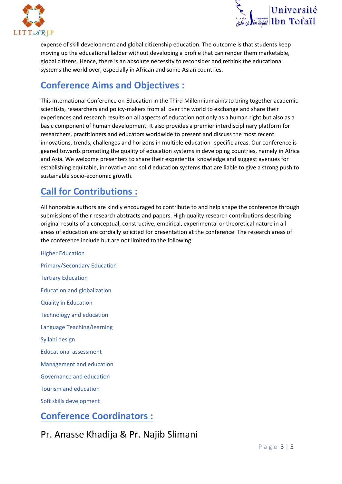



expense of skill development and global citizenship education. The outcome is that students keep moving up the educational ladder without developing a profile that can render them marketable, global citizens. Hence, there is an absolute necessity to reconsider and rethink the educational systems the world over, especially in African and some Asian countries.

# **Conference Aims and Objectives :**

This International Conference on Education in the Third Millennium aims to bring together academic scientists, researchers and policy-makers from all over the world to exchange and share their experiences and research results on all aspects of education not only as a human right but also as a basic component of human development. It also provides a premier interdisciplinary platform for researchers, practitioners and educators worldwide to present and discuss the most recent innovations, trends, challenges and horizons in multiple education- specific areas. Our conference is geared towards promoting the quality of education systems in developing countries, namely in Africa and Asia. We welcome presenters to share their experiential knowledge and suggest avenues for establishing equitable, innovative and solid education systems that are liable to give a strong push to sustainable socio-economic growth.

## **Call for Contributions :**

All honorable authors are kindly encouraged to contribute to and help shape the conference through submissions of their research abstracts and papers. High quality research contributions describing original results of a conceptual, constructive, empirical, experimental or theoretical nature in all areas of education are cordially solicited for presentation at the conference. The research areas of the conference include but are not limited to the following:

Higher Education Primary/Secondary Education Tertiary Education Education and globalization Quality in Education Technology and education Language Teaching/learning Syllabi design Educational assessment Management and education Governance and education Tourism and education Soft skills development

## **Conference Coordinators :**

Pr. Anasse Khadija & Pr. Najib Slimani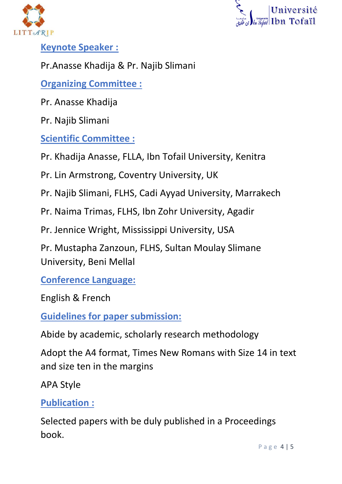



# **Keynote Speaker :**

# Pr.Anasse Khadija & Pr. Najib Slimani

# **Organizing Committee :**

Pr. Anasse Khadija

Pr. Najib Slimani

## **Scientific Committee :**

Pr. Khadija Anasse, FLLA, Ibn Tofail University, Kenitra

Pr. Lin Armstrong, Coventry University, UK

Pr. Najib Slimani, FLHS, Cadi Ayyad University, Marrakech

Pr. Naima Trimas, FLHS, Ibn Zohr University, Agadir

Pr. Jennice Wright, Mississippi University, USA

Pr. Mustapha Zanzoun, FLHS, Sultan Moulay Slimane University, Beni Mellal

**Conference Language:**

English & French

**Guidelines for paper submission:**

Abide by academic, scholarly research methodology

Adopt the A4 format, Times New Romans with Size 14 in text and size ten in the margins

APA Style

## **Publication :**

Selected papers with be duly published in a Proceedings book.